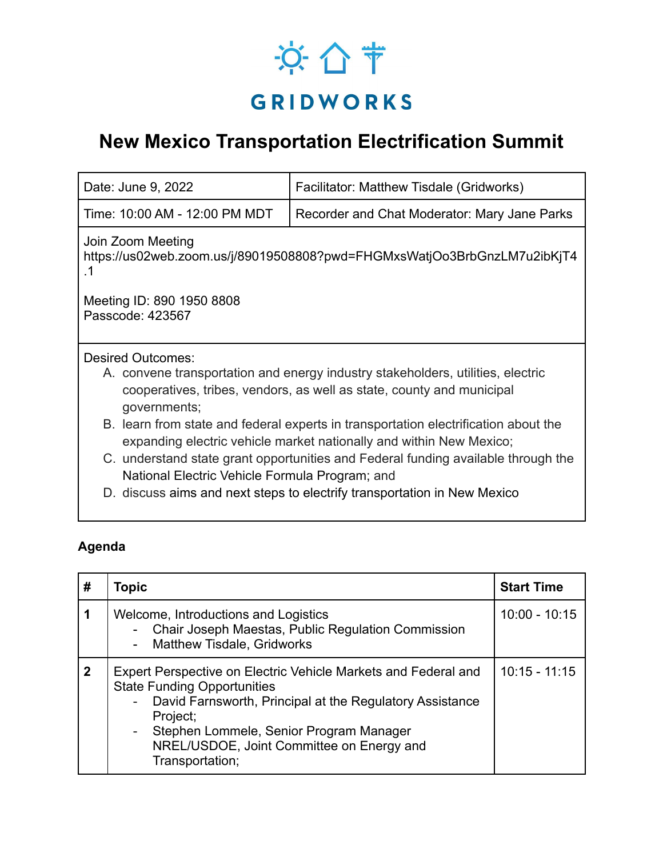## ※ 合节 **GRIDWORKS**

## **New Mexico Transportation Electrification Summit**

| Date: June 9, 2022                                                                                                                                                       | Facilitator: Matthew Tisdale (Gridworks)                                          |  |  |  |
|--------------------------------------------------------------------------------------------------------------------------------------------------------------------------|-----------------------------------------------------------------------------------|--|--|--|
| Time: 10:00 AM - 12:00 PM MDT                                                                                                                                            | Recorder and Chat Moderator: Mary Jane Parks                                      |  |  |  |
| Join Zoom Meeting<br>https://us02web.zoom.us/j/89019508808?pwd=FHGMxsWatjOo3BrbGnzLM7u2ibKjT4<br>. 1                                                                     |                                                                                   |  |  |  |
| Meeting ID: 890 1950 8808<br>Passcode: 423567                                                                                                                            |                                                                                   |  |  |  |
| <b>Desired Outcomes:</b>                                                                                                                                                 |                                                                                   |  |  |  |
| A. convene transportation and energy industry stakeholders, utilities, electric<br>cooperatives, tribes, vendors, as well as state, county and municipal<br>governments; |                                                                                   |  |  |  |
| B. learn from state and federal experts in transportation electrification about the<br>expanding electric vehicle market nationally and within New Mexico;               |                                                                                   |  |  |  |
| National Electric Vehicle Formula Program; and                                                                                                                           | C. understand state grant opportunities and Federal funding available through the |  |  |  |
|                                                                                                                                                                          | D. discuss aims and next steps to electrify transportation in New Mexico          |  |  |  |

## **Agenda**

| #            | Topic                                                                                                                                                                                                                                                                                                       | <b>Start Time</b> |
|--------------|-------------------------------------------------------------------------------------------------------------------------------------------------------------------------------------------------------------------------------------------------------------------------------------------------------------|-------------------|
|              | Welcome, Introductions and Logistics<br>- Chair Joseph Maestas, Public Regulation Commission<br><b>Matthew Tisdale, Gridworks</b>                                                                                                                                                                           | $10:00 - 10:15$   |
| $\mathbf{2}$ | Expert Perspective on Electric Vehicle Markets and Federal and<br><b>State Funding Opportunities</b><br>David Farnsworth, Principal at the Regulatory Assistance<br>$\sim$<br>Project;<br>Stephen Lommele, Senior Program Manager<br>$\sim$<br>NREL/USDOE, Joint Committee on Energy and<br>Transportation; | $10:15 - 11:15$   |